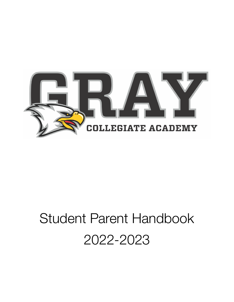

# Student Parent Handbook 2022-2023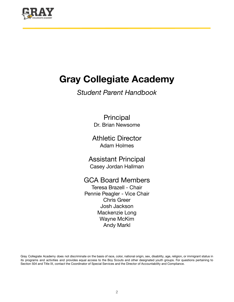

## **Gray Collegiate Academy**

### *Student Parent Handbook*

**Principal** Dr. Brian Newsome

Athletic Director Adam Holmes

Assistant Principal Casey Jordan Hallman

### GCA Board Members

Teresa Brazell - Chair Pennie Peagler - Vice Chair Chris Greer Josh Jackson Mackenzie Long Wayne McKim Andy Markl

Gray Collegiate Academy does not discriminate on the basis of race, color, national origin, sex, disability, age, religion, or immigrant status in its programs and activities and provides equal access to the Boy Scouts and other designated youth groups. For questions pertaining to Section 504 and Title IX, contact the Coordinator of Special Services and the Director of Accountability and Compliance.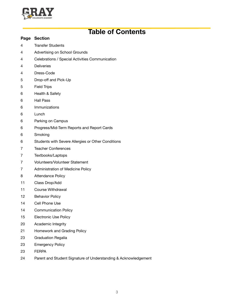

### **Table of Contents**

#### **Page Section**

- Transfer Students
- Advertising on School Grounds
- Celebrations / Special Activities Communication
- Deliveries
- Dress-Code
- Drop-off and Pick-Up
- Field Trips
- Health & Safety
- Hall Pass
- Immunizations
- Lunch
- Parking on Campus
- Progress/Mid-Term Reports and Report Cards
- Smoking
- Students with Severe Allergies or Other Conditions
- Teacher Conferences
- Textbooks/Laptops
- Volunteers/Volunteer Statement
- Administration of Medicine Policy
- Attendance Policy
- Class Drop/Add
- Course Withdrawal
- Behavior Policy
- Cell Phone Use
- Communication Policy
- Electronic Use Policy
- Academic Integrity
- Homework and Grading Policy
- Graduation Regalia
- Emergency Policy
- FERPA
- Parent and Student Signature of Understanding & Acknowledgement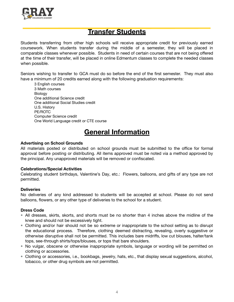

### **Transfer Students**

Students transferring from other high schools will receive appropriate credit for previously earned coursework. When students transfer during the middle of a semester, they will be placed in comparable classes whenever possible. Students in need of certain courses that are not being offered at the time of their transfer, will be placed in online Edmentum classes to complete the needed classes when possible.

Seniors wishing to transfer to GCA must do so before the end of the first semester. They must also have a minimum of 20 credits earned along with the following graduation requirements:

3 English courses 3 Math courses **Biology** One additional Science credit One additional Social Studies credit U.S. History PE/ROTC Computer Science credit One World Language credit or CTE course

### **General Information**

#### **Advertising on School Grounds**

All materials posted or distributed on school grounds must be submitted to the office for formal approval before posting or distributing. All items approved must be noted via a method approved by the principal. Any unapproved materials will be removed or confiscated.

#### **Celebrations/Special Activities**

Celebrating student birthdays, Valentine's Day, etc.: Flowers, balloons, and gifts of any type are not permitted.

#### **Deliveries**

No deliveries of any kind addressed to students will be accepted at school. Please do not send balloons, flowers, or any other type of deliveries to the school for a student.

#### **Dress Code**

- All dresses, skirts, skorts, and shorts must be no shorter than 4 inches above the midline of the knee and should not be excessively tight.
- Clothing and/or hair should not be so extreme or inappropriate to the school setting as to disrupt the educational process. Therefore, clothing deemed distracting, revealing, overly suggestive or otherwise disruptive shall not be permitted. This includes bare midriffs, low cut blouses, halter/tank tops, see-through shirts/tops/blouses, or tops that bare shoulders.
- No vulgar, obscene or otherwise inappropriate symbols, language or wording will be permitted on clothing or accessories.
- Clothing or accessories, i.e., bookbags, jewelry, hats, etc., that display sexual suggestions, alcohol, tobacco, or other drug symbols are not permitted.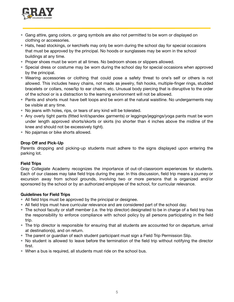

- Gang attire, gang colors, or gang symbols are also not permitted to be worn or displayed on clothing or accessories.
- Hats, head stockings, or kerchiefs may only be worn during the school day for special occasions that must be approved by the principal. No hoods or sunglasses may be worn in the school buildings at any time.
- Proper shoes must be worn at all times. No bedroom shoes or slippers allowed.
- Special dress or costume may be worn during the school day for special occasions when approved by the principal.
- Wearing accessories or clothing that could pose a safety threat to one's self or others is not allowed. This includes heavy chains, not made as jewelry, fish hooks, multiple-finger rings, studded bracelets or collars, nose/lip to ear chains, etc. Unusual body piercing that is disruptive to the order of the school or is a distraction to the learning environment will not be allowed.
- Pants and shorts must have belt loops and be worn at the natural waistline. No undergarments may be visible at any time.
- No jeans with holes, rips, or tears of any kind will be tolerated.
- Any overly tight pants (fitted knit/spandex garments) or leggings/jeggings/yoga pants must be worn under length approved shorts/skorts or skirts (no shorter than 4 inches above the midline of the knee and should not be excessively tight).
- No pajamas or bike shorts allowed.

#### **Drop Off and Pick-Up**

Parents dropping and picking-up students must adhere to the signs displayed upon entering the parking lot.

#### **Field Trips**

Gray Collegiate Academy recognizes the importance of out-of-classroom experiences for students. Each of our classes may take field trips during the year. In this discussion, field trip means a journey or excursion away from school grounds, involving two or more persons that is organized and/or sponsored by the school or by an authorized employee of the school, for curricular relevance.

#### **Guidelines for Field Trips**

- All field trips must be approved by the principal or designee.
- All field trips must have curricular relevance and are considered part of the school day.
- The school faculty or staff member (i.e. the trip director) designated to be in charge of a field trip has the responsibility to enforce compliance with school policy by all persons participating in the field trip.
- The trip director is responsible for ensuring that all students are accounted for on departure, arrival at destination(s), and on return.
- The parent or guardian of each student participant must sign a Field Trip Permission Slip.
- No student is allowed to leave before the termination of the field trip without notifying the director first.
- When a bus is required, all students must ride on the school bus.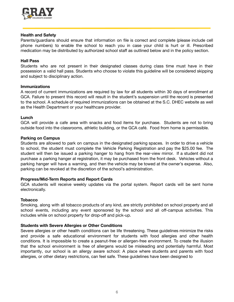

#### **Health and Safety**

Parents/guardians should ensure that information on file is correct and complete (please include cell phone numbers) to enable the school to reach you in case your child is hurt or ill. Prescribed medication may be distributed by authorized school staff as outlined below and in the policy section.

#### **Hall Pass**

Students who are not present in their designated classes during class time must have in their possession a valid hall pass. Students who choose to violate this guideline will be considered skipping and subject to disciplinary action.

#### **Immunizations**

A record of current immunizations are required by law for all students within 30 days of enrollment at GCA. Failure to present this record will result in the student's suspension until the record is presented to the school. A schedule of required immunizations can be obtained at the S.C. DHEC website as well as the Health Department or your healthcare provider.

#### **Lunch**

GCA will provide a cafe area with snacks and food items for purchase. Students are not to bring outside food into the classrooms, athletic building, or the GCA café. Food from home is permissible.

#### **Parking on Campus**

Students are allowed to park on campus in the designated parking spaces. In order to drive a vehicle to school, the student must complete the Vehicle Parking Registration and pay the \$25.00 fee. The student will then be issued a parking hanger to hang from the rear-view mirror. If a student did not purchase a parking hanger at registration, it may be purchased from the front desk. Vehicles without a parking hanger will have a warning, and then the vehicle may be towed at the owner's expense. Also, parking can be revoked at the discretion of the school's administration.

#### **Progress/Mid-Term Reports and Report Cards**

GCA students will receive weekly updates via the portal system. Report cards will be sent home electronically.

#### **Tobacco**

Smoking, along with all tobacco products of any kind, are strictly prohibited on school property and all school events, including any event sponsored by the school and all off-campus activities. This includes while on school property for drop-off and pick-up.

#### **Students with Severe Allergies or Other Conditions**

Severe allergies or other health conditions can be life threatening. These guidelines minimize the risks and provide a safe educational environment for students with food allergies and other health conditions. It is impossible to create a peanut-free or allergen-free environment. To create the illusion that the school environment is free of allergens would be misleading and potentially harmful. Most importantly, our school is an allergy aware school: A place where students and parents with food allergies, or other dietary restrictions, can feel safe. These guidelines have been designed to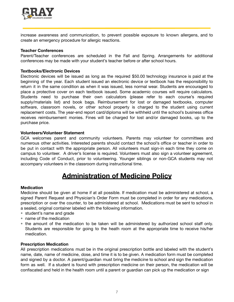

increase awareness and communication, to prevent possible exposure to known allergens, and to create an emergency procedure for allergic reactions.

#### **Teacher Conferences**

Parent/Teacher conferences are scheduled in the Fall and Spring. Arrangements for additional conferences may be made with your student's teacher before or after school hours.

#### **Textbooks/Electronic Devices**

Electronic devices will be issued as long as the required \$50.00 technology insurance is paid at the beginning of the year. Each student issued an electronic device or textbook has the responsibility to return it in the same condition as when it was issued, less normal wear. Students are encouraged to place a protective cover on each textbook issued. Some academic courses will require calculators. Students need to purchase their own calculators (please refer to each course's required supply/materials list) and book bags. Reimbursement for lost or damaged textbooks, computer software, classroom novels, or other school property is charged to the student using current replacement costs. The year-end report card/diploma will be withheld until the school's business office receives reimbursement monies. Fines will be charged for lost and/or damaged books, up to the purchase price.

#### **Volunteers/Volunteer Statement**

GCA welcomes parent and community volunteers. Parents may volunteer for committees and numerous other activities. Interested parents should contact the school's office or teacher in order to be put in contact with the appropriate person. All volunteers must sign-in each time they come on campus to volunteer. A driver's license is required. Volunteers must also sign a volunteer agreement, including Code of Conduct, prior to volunteering. Younger siblings or non-GCA students may not accompany volunteers in the classroom during instructional time.

### **Administration of Medicine Policy**

#### **Medication**

Medicine should be given at home if at all possible. If medication must be administered at school, a signed Parent Request and Physician's Order Form must be completed in order for any medications, prescription or over the counter, to be administered at school. Medications must be sent to school in a sealed, original container labeled with the following information.

- student's name and grade
- name of the medication
- the amount of the medication to be taken will be administered by authorized school staff only. Students are responsible for going to the heath room at the appropriate time to receive his/her medication.

#### **Prescription Medication**

All prescription medications must be in the original prescription bottle and labeled with the student's name, date, name of medicine, dose, and time it is to be given. A medication form must be completed and signed by a doctor. A parent/guardian must bring the medicine to school and sign the medication form as well. If a student is found with prescription medicine on their person, the medication will be confiscated and held in the health room until a parent or guardian can pick up the medication or sign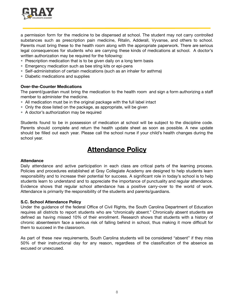

a permission form for the medicine to be dispensed at school. The student may not carry controlled substances such as prescription pain medicine, Ritalin, Adderall, Vyvanse, and others to school. Parents must bring these to the health room along with the appropriate paperwork. There are serious legal consequences for students who are carrying these kinds of medications at school. A doctor's written authorization may be required for the following:

- Prescription medication that is to be given daily on a long term basis
- Emergency medication such as bee sting kits or epi-pens
- Self-administration of certain medications (such as an inhaler for asthma)
- Diabetic medications and supplies

#### **Over-the-Counter Medications**

The parent/guardian must bring the medication to the health room and sign a form authorizing a staff member to administer the medicine.

- All medication must be in the original package with the full label intact
- Only the dose listed on the package, as appropriate, will be given
- A doctor's authorization may be required

Students found to be in possession of medication at school will be subject to the discipline code. Parents should complete and return the health update sheet as soon as possible. A new update should be filled out each year. Please call the school nurse if your child's health changes during the school year.

### **Attendance Policy**

#### **Attendance**

Daily attendance and active participation in each class are critical parts of the learning process. Policies and procedures established at Gray Collegiate Academy are designed to help students learn responsibility and to increase their potential for success. A significant role in today's school is to help students learn to understand and to appreciate the importance of punctuality and regular attendance. Evidence shows that regular school attendance has a positive carry-over to the world of work. Attendance is primarily the responsibility of the students and parents/guardians.

#### **S.C. School Attendance Policy**

Under the guidance of the federal Office of Civil Rights, the South Carolina Department of Education requires all districts to report students who are "chronically absent." Chronically absent students are defined as having missed 10% of their enrollment. Research shows that students with a history of chronic absenteeism face a serious risk of falling behind in school, thus making it more difficult for them to succeed in the classroom.

As part of these new requirements, South Carolina students will be considered "absent" if they miss 50% of their instructional day for any reason, regardless of the classification of the absence as excused or unexcused.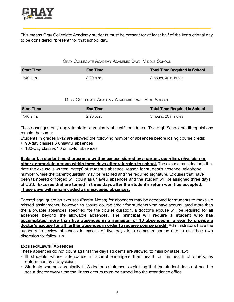

This means Gray Collegiate Academy students must be present for at least half of the instructional day to be considered "present" for that school day.

#### GRAY COLLEGIATE ACADEMY ACADEMIC DAY: MIDDLE SCHOOL

| <b>Start Time</b> | <b>End Time</b> | <b>Total Time Required in School</b> |
|-------------------|-----------------|--------------------------------------|
| 7:40 a.m.         | $3:20$ p.m.     | 3 hours, 40 minutes                  |

#### GRAY COLLEGIATE ACADEMY ACADEMIC DAY: HIGH SCHOOL

| <b>Start Time</b> | <b>End Time</b> | <b>Total Time Required in School</b> |
|-------------------|-----------------|--------------------------------------|
| 7:40 a.m.         | 2:20 p.m.       | 3 hours, 20 minutes                  |

These changes only apply to state "chronically absent" mandates. The High School credit regulations remain the same:

Students in grades 9-12 are allowed the following number of absences before losing course credit:

- 90-day classes 5 unlawful absences
- 180-day classes 10 unlawful absences

**If absent, a student must present a written excuse signed by a parent, guardian, physician or other appropriate person within three days after returning to school.** The excuse must include the date the excuse is written, date(s) of student's absence, reason for student's absence, telephone number where the parent/guardian may be reached and the required signature. Excuses that have been tampered or forged will count as unlawful absences and the student will be assigned three days of OSS. **Excuses that are turned in three days after the student's return won't be accepted. These days will remain coded as unexcused absences.**

Parent/Legal guardian excuses (Parent Notes) for absences may be accepted for students to make-up missed assignments; however, to assure course credit for students who have accumulated more than the allowable absences specified for the course duration, a doctor's excuse will be required for all absences beyond the allowable absences. **The principal will require a student who has accumulated more than five absences in a semester or 10 absences in a year to provide a doctor's excuse for all further absences in order to receive course credit.** Administrators have the authority to review absences in excess of five days in a semester course and to use their own discretion for follow-up.

#### **Excused/Lawful Absences**

These absences do not count against the days students are allowed to miss by state law:

- Ill students whose attendance in school endangers their health or the health of others, as determined by a physician.
- Students who are chronically ill. A doctor's statement explaining that the student does not need to see a doctor every time the illness occurs must be turned into the attendance office.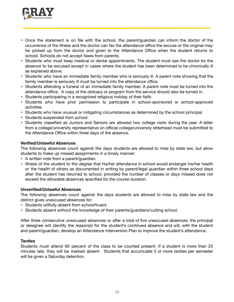

- Once the statement is on file with the school, the parent/guardian can inform the doctor of the occurrence of the illness and the doctor can fax the attendance office the excuse or the original may be picked up from the doctor and given to the Attendance Office when the student returns to school. Schools do not accept faxes from parents.
- Students who must keep medical or dental appointments. The student must see the doctor for the absence to be excused except in cases where the student has been determined to be chronically ill as explained above.
- Students who have an immediate family member who is seriously ill. A parent note showing that the family member is seriously ill must be turned into the attendance office.
- Students attending a funeral of an immediate family member. A parent note must be turned into the attendance office. A copy of the obituary or program from the service should also be turned in.
- Students participating in a recognized religious holiday of their faith.
- Students who have prior permission to participate in school-sponsored or school-approved activities.
- Students who have unusual or mitigating circumstances as determined by the school principal.
- **•** Students suspended from school.
- Students classified as Juniors and Seniors are allowed two college visits during the year. A letter from a college/university representative on official college/university letterhead must be submitted to the Attendance Office within three days of the absence.

#### **Verified/Unlawful Absences**

The following absences count against the days students are allowed to miss by state law, but allow students to make up missed assignments in a timely manner:

- A written note from a parent/guardian.
- Illness of the student to the degree that his/her attendance in school would endanger his/her health or the health of others as documented in writing by parent/legal guardian within three school days after the student has returned to school; provided the number of classes or days missed does not exceed the allowable absences specified for the course duration.

#### **Unverified/Unlawful Absences**

The following absences count against the days students are allowed to miss by state law and the district gives unexcused absences for:

- Students willfully absent from school/truant.
- Students absent without the knowledge of their parents/guardians/cutting school.

After three consecutive unexcused absences or after a total of five unexcused absences, the principal or designee will identify the reason(s) for the student's continued absence and will, with the student and parent/guardian, develop an Attendance Intervention Plan to improve the student's attendance.

#### **Tardies**

Students must attend 60 percent of the class to be counted present. If a student is more than 20 minutes late, they will be marked absent. Students that accumulate 5 or more tardies per semester will be given a Saturday detention.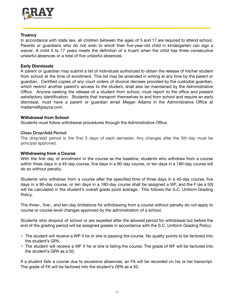

#### **Truancy**

In accordance with state law, all children between the ages of 5 and 17 are required to attend school. Parents or guardians who do not wish to enroll their five-year-old child in kindergarten can sign a waiver. A child 5 to 17 years meets the definition of a truant when the child has three consecutive unlawful absences or a total of five unlawful absences.

#### **Early Dismissals**

A parent or guardian may submit a list of individuals authorized to obtain the release of his/her student from school at the time of enrollment. This list may be amended in writing at any time by the parent or guardian. Certified copies of any court orders of divorce decrees provided by the custodial guardian, which restrict another parent's access to the student, shall also be maintained by the Administrative Office. Anyone seeking the release of a student from school, must report to the office and present satisfactory identification. Students that transport themselves to and from school and require an early dismissal, must have a parent or guardian email Megan Adams in the Administrative Office at madams@grayca.com.

#### **Withdrawal from School**

Students must follow withdrawal procedures through the Administrative Office.

#### **Class Drop/Add Period**

The drop/add period is the first 5 days of each semester. Any changes after the 5th day must be principal approved.

#### **Withdrawing from a Course**

With the first day of enrollment in the course as the baseline, students who withdraw from a course within three days in a 45-day course, five days in a 90-day course, or ten days in a 180-day course will do so without penalty.

Students who withdraw from a course after the specified time of three days in a 45-day course, five days in a 90-day course, or ten days in a 180-day course shall be assigned a WF, and the F (as a 50) will be calculated in the student's overall grade point average. This follows the S.C. Uniform Grading Policy.

The three-, five-, and ten-day limitations for withdrawing from a course without penalty do not apply to course or course-level changes approved by the administration of a school.

Students who dropout of school or are expelled after the allowed period for withdrawal but before the end of the grading period will be assigned grades in accordance with the S.C. Uniform Grading Policy:

- The student will receive a WP if he or she is passing the course. No quality points to be factored into the student's GPA.
- The student will receive a WF if he or she is failing the course. The grade of WF will be factored into the student's GPA as a 50.

If a student fails a course due to excessive absences, an FA will be recorded on his or her transcript. The grade of FA will be factored into the student's GPA as a 50.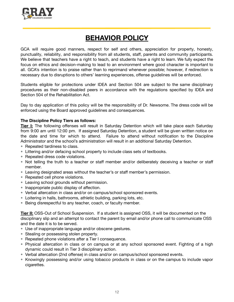

### **BEHAVIOR POLICY**

GCA will require good manners, respect for self and others, appreciation for property, honesty, punctuality, reliability, and responsibility from all students, staff, parents and community participants. We believe that teachers have a right to teach, and students have a right to learn. We fully expect the focus on ethics and decision-making to lead to an environment where good character is important to all. GCA's intention is to praise rather than to reprimand whenever possible; however, if redirection is necessary due to disruptions to others' learning experiences, offense guidelines will be enforced.

Students eligible for protections under IDEA and Section 504 are subject to the same disciplinary procedures as their non-disabled peers in accordance with the regulations specified by IDEA and Section 504 of the Rehabilitation Act.

Day to day application of this policy will be the responsibility of Dr. Newsome. The dress code will be enforced using the Board approved guidelines and consequences.

#### **The Discipline Policy Tiers as follows:**

**Tier I:** The following offenses will result in Saturday Detention which will take place each Saturday from 9:00 am until 12:00 pm. If assigned Saturday Detention, a student will be given written notice on the date and time for which to attend. Failure to attend without notification to the Discipline Administrator and the school's administration will result in an additional Saturday Detention.

- Repeated tardiness to class.
- Littering and/or defacing school property to include class sets of textbooks.
- Repeated dress code violations.
- Not telling the truth to a teacher or staff member and/or deliberately deceiving a teacher or staff member.
- Leaving designated areas without the teacher's or staff member's permission.
- Repeated cell phone violations.
- Leaving school grounds without permission.
- Inappropriate public display of affection.
- Verbal altercation in class and/or on campus/school sponsored events.
- Loitering in halls, bathrooms, athletic building, parking lots, etc.
- Being disrespectful to any teacher, coach, or faculty member.

**Tier II:** OSS-Out of School Suspension. If a student is assigned OSS, it will be documented on the disciplinary slip and an attempt to contact the parent by email and/or phone call to communicate OSS and the date it is to be served.

- Use of inappropriate language and/or obscene gestures.
- Stealing or possessing stolen property.
- Repeated phone violations after a Tier I consequence.
- Physical altercation in class or on campus or at any school sponsored event. Fighting of a high dynamic could result in Tier 3 disciplinary action.
- Verbal altercation (2nd offense) in class and/or on campus/school sponsored events.
- Knowingly possessing and/or using tobacco products in class or on the campus to include vapor cigarettes.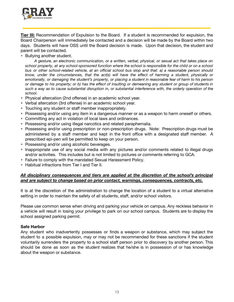

**Tier III:** Recommendation of Expulsion to the Board. If a student is recommended for expulsion, the Board Chairperson will immediately be contacted and a decision will be made by the Board within two days. Students will have OSS until the Board decision is made. Upon that decision, the student and parent will be contacted.

• Bullying another student.

*A gesture, an electronic communication, or a written, verbal, physical, or sexual act that takes place on* school property, at any school-sponsored function where the school is responsible for the child or on a school bus or other school-related vehicle, at an official school bus stop and that: a) a reasonable person should *know, under the circumstances, that the act(s) will have the effect of harming a student, physically or* emotionally, or damaging the student's property, or placing a student in reasonable fear of harm to his person or damage to his property; or b) has the effect of insulting or demeaning any student or group of students in such a way as to cause substantial disruption in, or substantial interference with, the orderly operation of the *school.*

- Physical altercation (2nd offense) in an academic school year.
- Verbal altercation (3rd offense) in an academic school year.
- Touching any student or staff member inappropriately.
- Possessing and/or using any item in a dangerous manner or as a weapon to harm oneself or others.
- Committing any act in violation of local laws and ordinances.
- Possessing and/or using illegal narcotics and related paraphernalia.
- Possessing and/or using prescription or non-prescription drugs. Note: Prescription drugs must be administered by a staff member and kept in the front office with a designated staff member. A prescribed epi-pen will be permitted to keep on your person.
- Possessing and/or using alcoholic beverages.
- Inappropriate use of any social media with any pictures and/or comments related to illegal drugs and/or activities. This includes but is not limited to pictures or comments referring to GCA.
- Failure to comply with the mandated Sexual Harassment Policy.
- Habitual infractions from Tier I and Tier II.

#### *All disciplinary consequences and tiers are applied at the discretion of the school's principal and are subject to change based on prior contact, warnings, consequences, contracts, etc.*

It is at the discretion of the administration to change the location of a student to a virtual alternative setting in order to maintain the safety of all students, staff, and/or school visitors.

Please use common sense when driving and parking your vehicle on campus. Any reckless behavior in a vehicle will result in losing your privilege to park on our school campus. Students are to display the school assigned parking permit.

#### **Safe Harbor**

Any student who inadvertently possesses or finds a weapon or substance, which may subject the student to a possible expulsion, may or may not be recommended for these sanctions if the student voluntarily surrenders the property to a school staff person prior to discovery by another person. This should be done as soon as the student realizes that he/she is in possession of or has knowledge about the weapon or substance.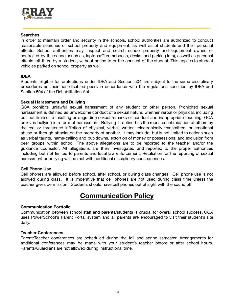

#### **Searches**

In order to maintain order and security in the schools, school authorities are authorized to conduct reasonable searches of school property and equipment, as well as of students and their personal effects. School authorities may inspect and search school property and equipment owned or controlled by the school (such as, laptops/Chromebooks, desks, and parking lots), as well as personal effects left there by a student, without notice to or the consent of the student. This applies to student vehicles parked on school property as well.

#### **IDEA**

Students eligible for protections under IDEA and Section 504 are subject to the same disciplinary procedures as their non-disabled peers in accordance with the regulations specified by IDEA and Section 504 of the Rehabilitation Act.

#### **Sexual Harassment and Bullying**

GCA prohibits unlawful sexual harassment of any student or other person. Prohibited sexual harassment is defined as unwelcome conduct of a sexual nature, whether verbal or physical, including but not limited to insulting or degrading sexual remarks or conduct and inappropriate touching. GCA believes bullying is a form of harassment. Bullying is defined as the repeated intimidation of others by the real or threatened infliction of physical, verbal, written, electronically transmitted, or emotional abuse or through attacks on the property of another. It may include, but is not limited to actions such as verbal taunts, name-calling and put-downs, extortion of money or possessions, and exclusion from peer groups within school. The above allegations are to be reported to the teacher and/or the guidance counselor. All allegations are then investigated and reported to the proper authorities including but not limited to parents and local law enforcement. Retaliation for the reporting of sexual harassment or bullying will be met with additional disciplinary consequences.

#### **Cell Phone Use**

Cell phones are allowed before school, after school, or during class changes. Cell phone use is not allowed during class. It is imperative that cell phones are not used during class time unless the teacher gives permission. Students should have cell phones out of sight with the sound off.

### **Communication Policy**

#### **Communication Portfolio**

Communication between school staff and parents/students is crucial for overall school success. GCA uses PowerSchool's Parent Portal system and all parents are encouraged to visit their student's site daily.

#### **Teacher Conferences**

Parent/Teacher conferences are scheduled during the fall and spring semester. Arrangements for additional conferences may be made with your student's teacher before or after school hours. Parents/Guardians are not allowed during instructional time.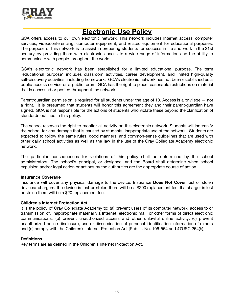

### **Electronic Use Policy**

GCA offers access to our own electronic network. This network includes Internet access, computer services, videoconferencing, computer equipment, and related equipment for educational purposes. The purpose of this network is to assist in preparing students for success in life and work in the 21st century by providing them with electronic access to a wide range of information and the ability to communicate with people throughout the world.

GCA's electronic network has been established for a limited educational purpose. The term "educational purpose" includes classroom activities, career development, and limited high-quality self-discovery activities, including homework. GCA's electronic network has not been established as a public access service or a public forum. GCA has the right to place reasonable restrictions on material that is accessed or posted throughout the network.

Parent/guardian permission is required for all students under the age of 18. Access is a privilege — not a right. It is presumed that students will honor this agreement they and their parent/guardian have signed. GCA is not responsible for the actions of students who violate these beyond the clarification of standards outlined in this policy.

The school reserves the right to monitor all activity on this electronic network. Students will indemnify the school for any damage that is caused by students' inappropriate use of the network. Students are expected to follow the same rules, good manners, and common-sense guidelines that are used with other daily school activities as well as the law in the use of the Gray Collegiate Academy electronic network.

The particular consequences for violations of this policy shall be determined by the school administrators. The school's principal, or designee, and the Board shall determine when school expulsion and/or legal action or actions by the authorities are the appropriate course of action.

#### **Insurance Coverage**

Insurance will cover any physical damage to the device. Insurance **Does Not Cover** lost or stolen devices/ chargers. If a device is lost or stolen there will be a \$200 replacement fee. If a charger is lost or stolen there will be a \$20 replacement fee.

#### **Children's Internet Protection Act**

It is the policy of Gray Collegiate Academy to: (a) prevent users of its computer network, access to or transmission of, inappropriate material via Internet, electronic mail, or other forms of direct electronic communications; (b) prevent unauthorized access and other unlawful online activity; (c) prevent unauthorized online disclosure, use or dissemination of personal identification information of minors and (d) comply with the Children's Internet Protection Act [Pub. L. No. 106-554 and 47USC 254(h)].

#### **Definitions**

Key terms are as defined in the Children's Internet Protection Act.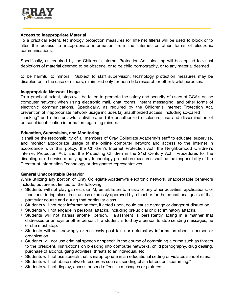

#### **Access to Inappropriate Material**

To a practical extent, technology protection measures (or Internet filters) will be used to block or to filter the access to inappropriate information from the Internet or other forms of electronic communications.

Specifically, as required by the Children's Internet Protection Act, blocking will be applied to visual depictions of material deemed to be obscene, or to be child pornography, or to any material deemed

to be harmful to minors. Subject to staff supervision, technology protection measures may be disabled or, in the case of minors, minimized only for bona fide research or other lawful purposes.

#### **Inappropriate Network Usage**

To a practical extent, steps will be taken to promote the safety and security of users of GCA's online computer network when using electronic mail, chat rooms, instant messaging, and other forms of electronic communications. Specifically, as required by the Children's Internet Protection Act, prevention of inappropriate network usage includes (a) unauthorized access, including so-called "hacking" and other unlawful activities; and (b) unauthorized disclosure, use and dissemination of personal identification information regarding minors.

#### **Education, Supervision, and Monitoring**

It shall be the responsibility of all members of Gray Collegiate Academy's staff to educate, supervise, and monitor appropriate usage of the online computer network and access to the Internet in accordance with this policy, the Children's Internet Protection Act, the Neighborhood Children's Internet Protection Act, and the Protecting Children in the 21st Century Act. Procedures for the disabling or otherwise modifying any technology protection measures shall be the responsibility of the Director of Information Technology or designated representatives.

#### **General Unacceptable Behavior**

While utilizing any portion of Gray Collegiate Academy's electronic network, unacceptable behaviors include, but are not limited to, the following:

- Students will not play games, use IM, email, listen to music or any other activities, applications, or functions during class time, unless expressly approved by a teacher for the educational goals of that particular course and during that particular class.
- Students will not post information that, if acted upon, could cause damage or danger of disruption.
- Students will not engage in personal attacks, including prejudicial or discriminatory attacks.
- Students will not harass another person. Harassment is persistently acting in a manner that distresses or annoys another person. If a student is told by a person to stop sending messages, he or she must stop.
- Students will not knowingly or recklessly post false or defamatory information about a person or organization.
- Students will not use criminal speech or speech in the course of committing a crime such as threats to the president, instructions on breaking into computer networks, child pornography, drug dealing, purchase of alcohol, gang activities, threats to an individual, etc.
- Students will not use speech that is inappropriate in an educational setting or violates school rules.
- Students will not abuse network resources such as sending chain letters or "spamming."
- Students will not display, access or send offensive messages or pictures.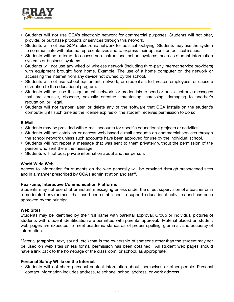

- Students will not use GCA's electronic network for commercial purposes. Students will not offer, provide, or purchase products or services through this network.
- Students will not use GCA's electronic network for political lobbying. Students may use the system to communicate with elected representatives and to express their opinions on political issues.
- Students will not attempt to access non-instructional school systems, such as student information systems or business systems.
- Students will not use any wired or wireless network (including third-party internet service providers) with equipment brought from home. Example: The use of a home computer on the network or accessing the internet from any device not owned by the school.
- Students will not use school equipment, network, or credentials to threaten employees, or cause a disruption to the educational program.
- Students will not use the equipment, network, or credentials to send or post electronic messages that are abusive, obscene, sexually oriented, threatening, harassing, damaging to another's reputation, or illegal.
- Students will not tamper, alter, or delete any of the software that GCA installs on the student's computer until such time as the license expires or the student receives permission to do so.

#### **E-Mail**

- Students may be provided with e-mail accounts for specific educational projects or activities.
- Students will not establish or access web-based e-mail accounts on commercial services through the school network unless such accounts have been approved for use by the individual school.
- Students will not repost a message that was sent to them privately without the permission of the person who sent them the message.
- Students will not post private information about another person.

#### **World Wide Web**

Access to information for students on the web generally will be provided through prescreened sites and in a manner prescribed by GCA's administration and staff.

#### **Real-time, Interactive Communication Platforms**

Students may not use chat or instant messaging unless under the direct supervision of a teacher or in a moderated environment that has been established to support educational activities and has been approved by the principal.

#### **Web Sites**

Students may be identified by their full name with parental approval. Group or individual pictures of students with student identification are permitted with parental approval. Material placed on student web pages are expected to meet academic standards of proper spelling, grammar, and accuracy of information.

Material (graphics, text, sound, etc.) that is the ownership of someone other than the student may not be used on web sites unless formal permission has been obtained. All student web pages should have a link back to the homepage of the classroom, or school, as appropriate.

#### **Personal Safety While on the Internet**

• Students will not share personal contact information about themselves or other people. Personal contact information includes address, telephone, school address, or work address.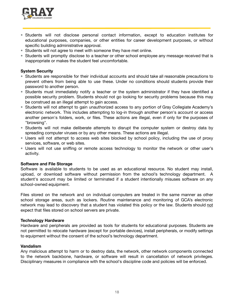

- Students will not disclose personal contact information, except to education institutes for educational purposes, companies, or other entities for career development purposes, or without specific building administrative approval.
- Students will not agree to meet with someone they have met online.
- Students will promptly disclose to a teacher or other school employee any message received that is inappropriate or makes the student feel uncomfortable.

#### **System Security**

- Students are responsible for their individual accounts and should take all reasonable precautions to prevent others from being able to use these. Under no conditions should students provide their password to another person.
- Students must immediately notify a teacher or the system administrator if they have identified a possible security problem. Students should not go looking for security problems because this may be construed as an illegal attempt to gain access.
- Students will not attempt to gain unauthorized access to any portion of Gray Collegiate Academy's electronic network. This includes attempting to log-in through another person's account or access another person's folders, work, or files. These actions are illegal, even if only for the purposes of "browsing".
- Students will not make deliberate attempts to disrupt the computer system or destroy data by spreading computer viruses or by any other means. These actions are illegal.
- Users will not attempt to access web sites blocked by school policy, including the use of proxy services, software, or web sites.
- Users will not use sniffing or remote access technology to monitor the network or other user's activity.

#### **Software and File Storage**

Software is available to students to be used as an educational resource. No student may install, upload, or download software without permission from the school's technology department. A student's account may be limited or terminated if a student intentionally misuses software on any school-owned equipment.

Files stored on the network and on individual computers are treated in the same manner as other school storage areas, such as lockers. Routine maintenance and monitoring of GCA's electronic network may lead to discovery that a student has violated this policy or the law. Students should not expect that files stored on school servers are private.

#### **Technology Hardware**

Hardware and peripherals are provided as tools for students for educational purposes. Students are not permitted to relocate hardware (except for portable devices), install peripherals, or modify settings to equipment without the consent of the school's technology department.

#### **Vandalism**

Any malicious attempt to harm or to destroy data, the network, other network components connected to the network backbone, hardware, or software will result in cancellation of network privileges. Disciplinary measures in compliance with the school's discipline code and policies will be enforced.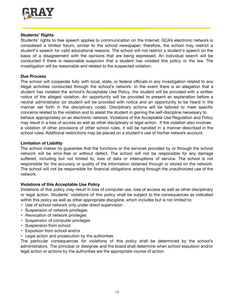

#### **Students' Rights**

Students' rights to free speech applies to communication on the Internet. GCA's electronic network is considered a limited forum, similar to the school newspaper; therefore, the school may restrict a student's speech for valid educational reasons. The school will not restrict a student's speech on the basis of a disagreement with the opinions that are being expressed. An individual search will be conducted if there is reasonable suspicion that a student has violated this policy or the law. The investigation will be reasonable and related to the suspected violation.

#### **Due Process**

The school will cooperate fully with local, state, or federal officials in any investigation related to any illegal activities conducted through the school's network. In the event there is an allegation that a student has violated the school's Acceptable Use Policy, the student will be provided with a written notice of the alleged violation. An opportunity will be provided to present an explanation before a neutral administrator (or student will be provided with notice and an opportunity to be heard in the manner set forth in the disciplinary code). Disciplinary actions will be tailored to meet specific concerns related to the violation and to assist the student in gaining the self-discipline necessary to behave appropriately on an electronic network. Violations of the Acceptable Use Regulation and Policy may result in a loss of access as well as other disciplinary or legal action. If the violation also involves a violation of other provisions of other school rules, it will be handled in a manner described in the school rules. Additional restrictions may be placed on a student's use of his/her network account.

#### **Limitation of Liability**

The school makes no guarantee that the functions or the services provided by or through the school network will be error-free or without defect. The school will not be responsible for any damage suffered, including but not limited to, loss of data or interruptions of service. The school is not responsible for the accuracy or quality of the information obtained through or stored on the network. The school will not be responsible for financial obligations arising through the unauthorized use of the network.

#### **Violations of this Acceptable Use Policy**

Violations of this policy may result in loss of computer use, loss of access as well as other disciplinary or legal action. Students' violations of this policy shall be subject to the consequences as indicated within this policy as well as other appropriate discipline, which includes but is not limited to:

- Use of school network only under direct supervision
- Suspension of network privileges
- Revocation of network privileges
- Suspension of computer privileges
- Suspension from school
- Expulsion from school and/or
- Legal action and prosecution by the authorities

The particular consequences for violations of this policy shall be determined by the school's administrators. The principal or designee and the board shall determine when school expulsion and/or legal action or actions by the authorities are the appropriate course of action.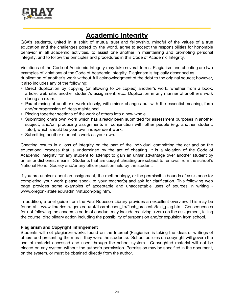

### **Academic Integrity**

GCA's students, united in a spirit of mutual trust and fellowship, mindful of the values of a true education and the challenges posed by the world, agree to accept the responsibilities for honorable behavior in all academic activities, to assist one another in maintaining and promoting personal integrity, and to follow the principles and procedures in this Code of Academic Integrity.

Violations of the Code of Academic Integrity may take several forms: Plagiarism and cheating are two examples of violations of the Code of Academic Integrity. Plagiarism is typically described as duplication of another's work without full acknowledgment of the debt to the original source; however, it also includes any of the following:

- Direct duplication by copying (or allowing to be copied) another's work, whether from a book, article, web site, another student's assignment, etc.. Duplication in any manner of another's work during an exam.
- Paraphrasing of another's work closely, with minor changes but with the essential meaning, form and/or progression of ideas maintained.
- Piecing together sections of the work of others into a new whole.
- Submitting one's own work which has already been submitted for assessment purposes in another subject; and/or, producing assignments in conjunction with other people (e.g. another student, tutor), which should be your own independent work.
- Submitting another student's work as your own.

Cheating results in a loss of integrity on the part of the individual committing the act and on the educational process that is undermined by the act of cheating. It is a violation of the Code of Academic Integrity for any student to attempt to gain an unfair advantage over another student by unfair or dishonest means. Students that are caught cheating are subject to removal from the school's National Honor Society and/or any officer position held by the student.

If you are unclear about an assignment, the methodology, or the permissible bounds of assistance for completing your work please speak to your teacher(s) and ask for clarification. This following web page provides some examples of acceptable and unacceptable uses of sources in writing www.oregon- state.edu/admin/stucon/plag.htm.

In addition, a brief guide from the Paul Robeson Library provides an excellent overview. This may be found at - www.libraries.rutgers.edu/rul/libs/robeson\_lib/flash\_presents/text\_plag.html. Consequences for not following the academic code of conduct may include receiving a zero on the assignment, failing the course, disciplinary action including the possibility of suspension and/or expulsion from school.

#### **Plagiarism and Copyright Infringement**

Students will not plagiarize works found on the Internet (Plagiarism is taking the ideas or writings of others and presenting them as if they were the students). School policies on copyright will govern the use of material accessed and used through the school system. Copyrighted material will not be placed on any system without the author's permission. Permission may be specified in the document, on the system, or must be obtained directly from the author.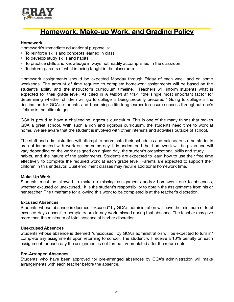

### **Homework, Make-up Work, and Grading Policy**

#### **Homework**

Homework's immediate educational purpose is:

- To reinforce skills and concepts learned in class
- To develop study skills and habits
- To practice skills and knowledge in ways not readily accomplished in the classroom
- To inform parents of what is being taught in the classroom

Homework assignments should be expected Monday through Friday of each week and on some weekends. The amount of time required to complete homework assignments will be based on the student's ability and the instructor's curriculum timeline. Teachers will inform students what is expected for their grade level. As cited in *A Nation at Risk*, "the single most important factor for determining whether children will go to college is being properly prepared." Going to college is the destination for GCA's students and becoming a life-long learner to ensure success throughout one's lifetime is the ultimate goal.

GCA is proud to have a challenging, rigorous curriculum. This is one of the many things that makes GCA a great school. With such a rich and rigorous curriculum, the students need time to work at home. We are aware that the student is involved with other interests and activities outside of school.

The staff and administration will attempt to coordinate their schedules and calendars so the students are not inundated with work on the same day. It is understood that homework will be given and will vary depending on the work assigned on a given day, the student's organizational skills and study habits, and the nature of the assignments. Students are expected to learn how to use their free time effectively to complete the required work at each grade level. Parents are expected to support their children in this endeavor. Dual enrollment classes may require additional homework time.

#### **Make-Up Work**

Students must be allowed to make-up missing assignments and/or homework due to absences, whether excused or unexcused. It is the student's responsibility to obtain the assignments from his or her teacher. The timeframe for allowing this work to be completed is at the teacher's discretion.

#### **Excused Absences**

Students whose absence is deemed "excused" by GCA's administration will have the minimum of total excused days absent to complete/turn in any work missed during that absence. The teacher may give more than the minimum of total absence at his/her discretion.

#### **Unexcused Absences**

Students whose absence is deemed "unexcused" by GCA's administration will be expected to turn in/ complete any assignments upon returning to school. The student will receive a 10% penalty on each assignment for each day the assignment is not turned in/completed after the return date.

#### **Pre-Arranged Absences**

Students who have been approved for pre-arranged absences by GCA's administration will make arrangements with each teacher before the absence.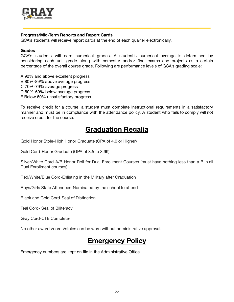

#### **Progress/Mid-Term Reports and Report Cards**

GCA's students will receive report cards at the end of each quarter electronically.

#### **Grades**

GCA's students will earn numerical grades. A student's numerical average is determined by considering each unit grade along with semester and/or final exams and projects as a certain percentage of the overall course grade. Following are performance levels of GCA's grading scale:

A 90% and above excellent progress B 80%-89% above average progress C 70%-79% average progress D 60%-69% below average progress F Below 60% unsatisfactory progress

To receive credit for a course, a student must complete instructional requirements in a satisfactory manner and must be in compliance with the attendance policy. A student who fails to comply will not receive credit for the course.

### **Graduation Regalia**

Gold Honor Stole-High Honor Graduate (GPA of 4.0 or Higher)

Gold Cord-Honor Graduate (GPA of 3.5 to 3.99)

Silver/White Cord-A/B Honor Roll for Dual Enrollment Courses (must have nothing less than a B in all Dual Enrollment courses)

Red/White/Blue Cord-Enlisting in the Military after Graduation

Boys/Girls State Attendees-Nominated by the school to attend

Black and Gold Cord-Seal of Distinction

Teal Cord- Seal of Biliteracy

Gray Cord-CTE Completer

No other awards/cords/stoles can be worn without administrative approval.

### **Emergency Policy**

Emergency numbers are kept on file in the Administrative Office.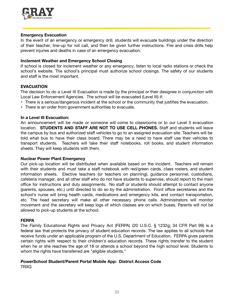

#### **Emergency Evacuation**

In the event of an emergency or emergency drill, students will evacuate buildings under the direction of their teacher, line-up for roll call, and then be given further instructions. Fire and crisis drills help prevent injuries and deaths in case of an emergency evacuation.

#### **Inclement Weather and Emergency School Closing**

If school is closed for inclement weather or any emergency, listen to local radio stations or check the school's website. The school's principal must authorize school closings. The safety of our students and staff is the most important.

#### **EVACUATION**

The decision to do a Level III Evacuation is made by the principal or their designee in conjunction with Local Law Enforcement Agencies. The school will be evacuated (Level III) if:

- There is a serious/dangerous incident at the school or the community that justifies the evacuation.
- There is an order from government authorities to evacuate.

#### **In a Level III Evacuation:**

An announcement will be made or someone will come to classrooms or to our Level II evacuation location. **STUDENTS AND STAFF ARE NOT TO USE CELL PHONES.** Staff and students will leave the campus by bus and authorized staff vehicles to go to an assigned evacuation site. Teachers will be told what bus to have their class board. There may be a need to have staff use their vehicles to transport students. Teachers will take their staff notebooks, roll books, and student information sheets. They will keep students with them.

#### **Nuclear Power Plant Emergency**

Our pick-up location will be distributed when available based on the incident. Teachers will remain with their students and must take a staff notebook with red/green cards, class rosters, and student information sheets. Elective teachers (or teachers on planning), guidance personnel, custodians, cafeteria manager, and all other staff who do not have students to supervise, should report to the main office for instructions and duty assignments. No staff or students should attempt to contact anyone (parents, spouses, etc.) until directed to do so by the administration. Front office secretaries and the school's nurse will bring health cards, medications and emergency kits, and contact transportation, etc. The head secretary will make all other necessary phone calls. Administrators will monitor movement and the secretary will keep logs of which classes are on which buses. Parents will not be allowed to pick-up students at the school.

#### **FERPA**

The Family Educational Rights and Privacy Act (FERPA) (20 U.S.C. § 1232g; 34 CFR Part 99) is a federal law that protects the privacy of student education records. The law applies to all schools that receive funds under an applicable program of the U.S. Department of Education. FERPA gives parents certain rights with respect to their children's education records. These rights transfer to the student when he or she reaches the age of 18 or attends a school beyond the high school level. Students to whom the rights have transferred are "eligible students."

#### **PowerSchool Student/Parent Portal Mobile App: District Access Code**

**TRXG**